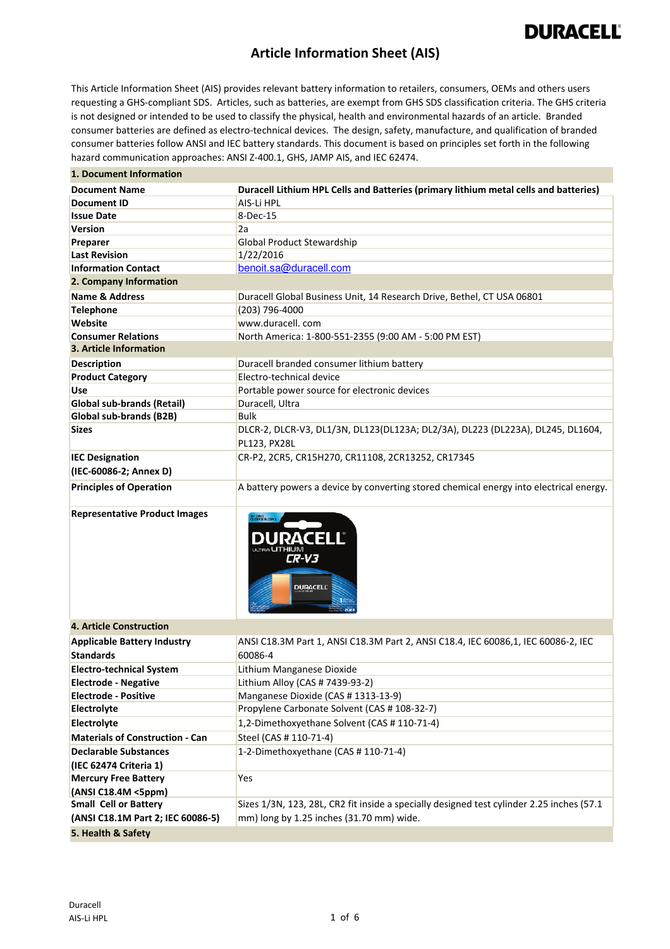## **DURACELL®**

#### **Article Information Sheet (AIS)**

This Article Information Sheet (AIS) provides relevant battery information to retailers, consumers, OEMs and others users requesting a GHS-compliant SDS. Articles, such as batteries, are exempt from GHS SDS classification criteria. The GHS criteria is not designed or intended to be used to classify the physical, health and environmental hazards of an article. Branded consumer batteries are defined as electro-technical devices. The design, safety, manufacture, and qualification of branded consumer batteries follow ANSI and IEC battery standards. This document is based on principles set forth in the following hazard communication approaches: ANSI Z-400.1, GHS, JAMP AIS, and IEC 62474.

| Duracell Lithium HPL Cells and Batteries (primary lithium metal cells and batteries)<br><b>Document Name</b><br>AIS-Li HPL<br><b>Document ID</b><br>8-Dec-15<br><b>Issue Date</b><br>2a<br><b>Version</b><br>Global Product Stewardship<br>Preparer<br>1/22/2016<br><b>Last Revision</b><br>benoit.sa@duracell.com<br><b>Information Contact</b><br>2. Company Information<br><b>Name &amp; Address</b><br>Duracell Global Business Unit, 14 Research Drive, Bethel, CT USA 06801<br>(203) 796-4000<br><b>Telephone</b><br>www.duracell.com<br>Website<br><b>Consumer Relations</b><br>North America: 1-800-551-2355 (9:00 AM - 5:00 PM EST)<br>3. Article Information<br>Duracell branded consumer lithium battery<br><b>Description</b><br>Electro-technical device<br><b>Product Category</b><br><b>Use</b><br>Portable power source for electronic devices<br>Duracell, Ultra<br><b>Global sub-brands (Retail)</b><br><b>Bulk</b><br>Global sub-brands (B2B)<br>DLCR-2, DLCR-V3, DL1/3N, DL123(DL123A; DL2/3A), DL223 (DL223A), DL245, DL1604,<br><b>Sizes</b><br><b>PL123, PX28L</b><br><b>IEC Designation</b><br>CR-P2, 2CR5, CR15H270, CR11108, 2CR13252, CR17345<br>(IEC-60086-2; Annex D)<br><b>Principles of Operation</b><br>A battery powers a device by converting stored chemical energy into electrical energy.<br><b>Representative Product Images</b><br>IV CRV3<br>Ilerva/Blerv3<br><b>DURACEL</b><br>CR-V3<br><b>DURACELL</b><br><b>4. Article Construction</b><br><b>Applicable Battery Industry</b><br>ANSI C18.3M Part 1, ANSI C18.3M Part 2, ANSI C18.4, IEC 60086,1, IEC 60086-2, IEC<br>60086-4<br><b>Standards</b><br><b>Electro-technical System</b><br>Lithium Manganese Dioxide<br><b>Electrode - Negative</b><br>Lithium Alloy (CAS # 7439-93-2)<br>Manganese Dioxide (CAS # 1313-13-9)<br><b>Electrode - Positive</b><br>Propylene Carbonate Solvent (CAS # 108-32-7)<br>Electrolyte<br>1,2-Dimethoxyethane Solvent (CAS # 110-71-4)<br>Electrolyte<br>Steel (CAS # 110-71-4)<br><b>Materials of Construction - Can</b><br>1-2-Dimethoxyethane (CAS # 110-71-4)<br><b>Declarable Substances</b><br>(IEC 62474 Criteria 1)<br><b>Mercury Free Battery</b><br>Yes<br>(ANSI C18.4M <5ppm)<br><b>Small Cell or Battery</b><br>Sizes 1/3N, 123, 28L, CR2 fit inside a specially designed test cylinder 2.25 inches (57.1<br>mm) long by 1.25 inches (31.70 mm) wide.<br>(ANSI C18.1M Part 2; IEC 60086-5) | 1. Document Information |  |  |  |
|-------------------------------------------------------------------------------------------------------------------------------------------------------------------------------------------------------------------------------------------------------------------------------------------------------------------------------------------------------------------------------------------------------------------------------------------------------------------------------------------------------------------------------------------------------------------------------------------------------------------------------------------------------------------------------------------------------------------------------------------------------------------------------------------------------------------------------------------------------------------------------------------------------------------------------------------------------------------------------------------------------------------------------------------------------------------------------------------------------------------------------------------------------------------------------------------------------------------------------------------------------------------------------------------------------------------------------------------------------------------------------------------------------------------------------------------------------------------------------------------------------------------------------------------------------------------------------------------------------------------------------------------------------------------------------------------------------------------------------------------------------------------------------------------------------------------------------------------------------------------------------------------------------------------------------------------------------------------------------------------------------------------------------------------------------------------------------------------------------------------------------------------------------------------------------------------------------------------------------------------------------------------------------------------------------------------------------------------------------------------------------------------------------------------------------------|-------------------------|--|--|--|
|                                                                                                                                                                                                                                                                                                                                                                                                                                                                                                                                                                                                                                                                                                                                                                                                                                                                                                                                                                                                                                                                                                                                                                                                                                                                                                                                                                                                                                                                                                                                                                                                                                                                                                                                                                                                                                                                                                                                                                                                                                                                                                                                                                                                                                                                                                                                                                                                                                     |                         |  |  |  |
|                                                                                                                                                                                                                                                                                                                                                                                                                                                                                                                                                                                                                                                                                                                                                                                                                                                                                                                                                                                                                                                                                                                                                                                                                                                                                                                                                                                                                                                                                                                                                                                                                                                                                                                                                                                                                                                                                                                                                                                                                                                                                                                                                                                                                                                                                                                                                                                                                                     |                         |  |  |  |
|                                                                                                                                                                                                                                                                                                                                                                                                                                                                                                                                                                                                                                                                                                                                                                                                                                                                                                                                                                                                                                                                                                                                                                                                                                                                                                                                                                                                                                                                                                                                                                                                                                                                                                                                                                                                                                                                                                                                                                                                                                                                                                                                                                                                                                                                                                                                                                                                                                     |                         |  |  |  |
|                                                                                                                                                                                                                                                                                                                                                                                                                                                                                                                                                                                                                                                                                                                                                                                                                                                                                                                                                                                                                                                                                                                                                                                                                                                                                                                                                                                                                                                                                                                                                                                                                                                                                                                                                                                                                                                                                                                                                                                                                                                                                                                                                                                                                                                                                                                                                                                                                                     |                         |  |  |  |
|                                                                                                                                                                                                                                                                                                                                                                                                                                                                                                                                                                                                                                                                                                                                                                                                                                                                                                                                                                                                                                                                                                                                                                                                                                                                                                                                                                                                                                                                                                                                                                                                                                                                                                                                                                                                                                                                                                                                                                                                                                                                                                                                                                                                                                                                                                                                                                                                                                     |                         |  |  |  |
|                                                                                                                                                                                                                                                                                                                                                                                                                                                                                                                                                                                                                                                                                                                                                                                                                                                                                                                                                                                                                                                                                                                                                                                                                                                                                                                                                                                                                                                                                                                                                                                                                                                                                                                                                                                                                                                                                                                                                                                                                                                                                                                                                                                                                                                                                                                                                                                                                                     |                         |  |  |  |
|                                                                                                                                                                                                                                                                                                                                                                                                                                                                                                                                                                                                                                                                                                                                                                                                                                                                                                                                                                                                                                                                                                                                                                                                                                                                                                                                                                                                                                                                                                                                                                                                                                                                                                                                                                                                                                                                                                                                                                                                                                                                                                                                                                                                                                                                                                                                                                                                                                     |                         |  |  |  |
|                                                                                                                                                                                                                                                                                                                                                                                                                                                                                                                                                                                                                                                                                                                                                                                                                                                                                                                                                                                                                                                                                                                                                                                                                                                                                                                                                                                                                                                                                                                                                                                                                                                                                                                                                                                                                                                                                                                                                                                                                                                                                                                                                                                                                                                                                                                                                                                                                                     |                         |  |  |  |
|                                                                                                                                                                                                                                                                                                                                                                                                                                                                                                                                                                                                                                                                                                                                                                                                                                                                                                                                                                                                                                                                                                                                                                                                                                                                                                                                                                                                                                                                                                                                                                                                                                                                                                                                                                                                                                                                                                                                                                                                                                                                                                                                                                                                                                                                                                                                                                                                                                     |                         |  |  |  |
|                                                                                                                                                                                                                                                                                                                                                                                                                                                                                                                                                                                                                                                                                                                                                                                                                                                                                                                                                                                                                                                                                                                                                                                                                                                                                                                                                                                                                                                                                                                                                                                                                                                                                                                                                                                                                                                                                                                                                                                                                                                                                                                                                                                                                                                                                                                                                                                                                                     |                         |  |  |  |
|                                                                                                                                                                                                                                                                                                                                                                                                                                                                                                                                                                                                                                                                                                                                                                                                                                                                                                                                                                                                                                                                                                                                                                                                                                                                                                                                                                                                                                                                                                                                                                                                                                                                                                                                                                                                                                                                                                                                                                                                                                                                                                                                                                                                                                                                                                                                                                                                                                     |                         |  |  |  |
|                                                                                                                                                                                                                                                                                                                                                                                                                                                                                                                                                                                                                                                                                                                                                                                                                                                                                                                                                                                                                                                                                                                                                                                                                                                                                                                                                                                                                                                                                                                                                                                                                                                                                                                                                                                                                                                                                                                                                                                                                                                                                                                                                                                                                                                                                                                                                                                                                                     |                         |  |  |  |
|                                                                                                                                                                                                                                                                                                                                                                                                                                                                                                                                                                                                                                                                                                                                                                                                                                                                                                                                                                                                                                                                                                                                                                                                                                                                                                                                                                                                                                                                                                                                                                                                                                                                                                                                                                                                                                                                                                                                                                                                                                                                                                                                                                                                                                                                                                                                                                                                                                     |                         |  |  |  |
|                                                                                                                                                                                                                                                                                                                                                                                                                                                                                                                                                                                                                                                                                                                                                                                                                                                                                                                                                                                                                                                                                                                                                                                                                                                                                                                                                                                                                                                                                                                                                                                                                                                                                                                                                                                                                                                                                                                                                                                                                                                                                                                                                                                                                                                                                                                                                                                                                                     |                         |  |  |  |
|                                                                                                                                                                                                                                                                                                                                                                                                                                                                                                                                                                                                                                                                                                                                                                                                                                                                                                                                                                                                                                                                                                                                                                                                                                                                                                                                                                                                                                                                                                                                                                                                                                                                                                                                                                                                                                                                                                                                                                                                                                                                                                                                                                                                                                                                                                                                                                                                                                     |                         |  |  |  |
|                                                                                                                                                                                                                                                                                                                                                                                                                                                                                                                                                                                                                                                                                                                                                                                                                                                                                                                                                                                                                                                                                                                                                                                                                                                                                                                                                                                                                                                                                                                                                                                                                                                                                                                                                                                                                                                                                                                                                                                                                                                                                                                                                                                                                                                                                                                                                                                                                                     |                         |  |  |  |
|                                                                                                                                                                                                                                                                                                                                                                                                                                                                                                                                                                                                                                                                                                                                                                                                                                                                                                                                                                                                                                                                                                                                                                                                                                                                                                                                                                                                                                                                                                                                                                                                                                                                                                                                                                                                                                                                                                                                                                                                                                                                                                                                                                                                                                                                                                                                                                                                                                     |                         |  |  |  |
|                                                                                                                                                                                                                                                                                                                                                                                                                                                                                                                                                                                                                                                                                                                                                                                                                                                                                                                                                                                                                                                                                                                                                                                                                                                                                                                                                                                                                                                                                                                                                                                                                                                                                                                                                                                                                                                                                                                                                                                                                                                                                                                                                                                                                                                                                                                                                                                                                                     |                         |  |  |  |
|                                                                                                                                                                                                                                                                                                                                                                                                                                                                                                                                                                                                                                                                                                                                                                                                                                                                                                                                                                                                                                                                                                                                                                                                                                                                                                                                                                                                                                                                                                                                                                                                                                                                                                                                                                                                                                                                                                                                                                                                                                                                                                                                                                                                                                                                                                                                                                                                                                     |                         |  |  |  |
|                                                                                                                                                                                                                                                                                                                                                                                                                                                                                                                                                                                                                                                                                                                                                                                                                                                                                                                                                                                                                                                                                                                                                                                                                                                                                                                                                                                                                                                                                                                                                                                                                                                                                                                                                                                                                                                                                                                                                                                                                                                                                                                                                                                                                                                                                                                                                                                                                                     |                         |  |  |  |
|                                                                                                                                                                                                                                                                                                                                                                                                                                                                                                                                                                                                                                                                                                                                                                                                                                                                                                                                                                                                                                                                                                                                                                                                                                                                                                                                                                                                                                                                                                                                                                                                                                                                                                                                                                                                                                                                                                                                                                                                                                                                                                                                                                                                                                                                                                                                                                                                                                     |                         |  |  |  |
|                                                                                                                                                                                                                                                                                                                                                                                                                                                                                                                                                                                                                                                                                                                                                                                                                                                                                                                                                                                                                                                                                                                                                                                                                                                                                                                                                                                                                                                                                                                                                                                                                                                                                                                                                                                                                                                                                                                                                                                                                                                                                                                                                                                                                                                                                                                                                                                                                                     |                         |  |  |  |
|                                                                                                                                                                                                                                                                                                                                                                                                                                                                                                                                                                                                                                                                                                                                                                                                                                                                                                                                                                                                                                                                                                                                                                                                                                                                                                                                                                                                                                                                                                                                                                                                                                                                                                                                                                                                                                                                                                                                                                                                                                                                                                                                                                                                                                                                                                                                                                                                                                     |                         |  |  |  |
|                                                                                                                                                                                                                                                                                                                                                                                                                                                                                                                                                                                                                                                                                                                                                                                                                                                                                                                                                                                                                                                                                                                                                                                                                                                                                                                                                                                                                                                                                                                                                                                                                                                                                                                                                                                                                                                                                                                                                                                                                                                                                                                                                                                                                                                                                                                                                                                                                                     |                         |  |  |  |
|                                                                                                                                                                                                                                                                                                                                                                                                                                                                                                                                                                                                                                                                                                                                                                                                                                                                                                                                                                                                                                                                                                                                                                                                                                                                                                                                                                                                                                                                                                                                                                                                                                                                                                                                                                                                                                                                                                                                                                                                                                                                                                                                                                                                                                                                                                                                                                                                                                     |                         |  |  |  |
|                                                                                                                                                                                                                                                                                                                                                                                                                                                                                                                                                                                                                                                                                                                                                                                                                                                                                                                                                                                                                                                                                                                                                                                                                                                                                                                                                                                                                                                                                                                                                                                                                                                                                                                                                                                                                                                                                                                                                                                                                                                                                                                                                                                                                                                                                                                                                                                                                                     |                         |  |  |  |
|                                                                                                                                                                                                                                                                                                                                                                                                                                                                                                                                                                                                                                                                                                                                                                                                                                                                                                                                                                                                                                                                                                                                                                                                                                                                                                                                                                                                                                                                                                                                                                                                                                                                                                                                                                                                                                                                                                                                                                                                                                                                                                                                                                                                                                                                                                                                                                                                                                     |                         |  |  |  |
|                                                                                                                                                                                                                                                                                                                                                                                                                                                                                                                                                                                                                                                                                                                                                                                                                                                                                                                                                                                                                                                                                                                                                                                                                                                                                                                                                                                                                                                                                                                                                                                                                                                                                                                                                                                                                                                                                                                                                                                                                                                                                                                                                                                                                                                                                                                                                                                                                                     |                         |  |  |  |
|                                                                                                                                                                                                                                                                                                                                                                                                                                                                                                                                                                                                                                                                                                                                                                                                                                                                                                                                                                                                                                                                                                                                                                                                                                                                                                                                                                                                                                                                                                                                                                                                                                                                                                                                                                                                                                                                                                                                                                                                                                                                                                                                                                                                                                                                                                                                                                                                                                     |                         |  |  |  |
|                                                                                                                                                                                                                                                                                                                                                                                                                                                                                                                                                                                                                                                                                                                                                                                                                                                                                                                                                                                                                                                                                                                                                                                                                                                                                                                                                                                                                                                                                                                                                                                                                                                                                                                                                                                                                                                                                                                                                                                                                                                                                                                                                                                                                                                                                                                                                                                                                                     |                         |  |  |  |
|                                                                                                                                                                                                                                                                                                                                                                                                                                                                                                                                                                                                                                                                                                                                                                                                                                                                                                                                                                                                                                                                                                                                                                                                                                                                                                                                                                                                                                                                                                                                                                                                                                                                                                                                                                                                                                                                                                                                                                                                                                                                                                                                                                                                                                                                                                                                                                                                                                     |                         |  |  |  |
|                                                                                                                                                                                                                                                                                                                                                                                                                                                                                                                                                                                                                                                                                                                                                                                                                                                                                                                                                                                                                                                                                                                                                                                                                                                                                                                                                                                                                                                                                                                                                                                                                                                                                                                                                                                                                                                                                                                                                                                                                                                                                                                                                                                                                                                                                                                                                                                                                                     |                         |  |  |  |
|                                                                                                                                                                                                                                                                                                                                                                                                                                                                                                                                                                                                                                                                                                                                                                                                                                                                                                                                                                                                                                                                                                                                                                                                                                                                                                                                                                                                                                                                                                                                                                                                                                                                                                                                                                                                                                                                                                                                                                                                                                                                                                                                                                                                                                                                                                                                                                                                                                     |                         |  |  |  |
|                                                                                                                                                                                                                                                                                                                                                                                                                                                                                                                                                                                                                                                                                                                                                                                                                                                                                                                                                                                                                                                                                                                                                                                                                                                                                                                                                                                                                                                                                                                                                                                                                                                                                                                                                                                                                                                                                                                                                                                                                                                                                                                                                                                                                                                                                                                                                                                                                                     |                         |  |  |  |
|                                                                                                                                                                                                                                                                                                                                                                                                                                                                                                                                                                                                                                                                                                                                                                                                                                                                                                                                                                                                                                                                                                                                                                                                                                                                                                                                                                                                                                                                                                                                                                                                                                                                                                                                                                                                                                                                                                                                                                                                                                                                                                                                                                                                                                                                                                                                                                                                                                     |                         |  |  |  |
|                                                                                                                                                                                                                                                                                                                                                                                                                                                                                                                                                                                                                                                                                                                                                                                                                                                                                                                                                                                                                                                                                                                                                                                                                                                                                                                                                                                                                                                                                                                                                                                                                                                                                                                                                                                                                                                                                                                                                                                                                                                                                                                                                                                                                                                                                                                                                                                                                                     |                         |  |  |  |
|                                                                                                                                                                                                                                                                                                                                                                                                                                                                                                                                                                                                                                                                                                                                                                                                                                                                                                                                                                                                                                                                                                                                                                                                                                                                                                                                                                                                                                                                                                                                                                                                                                                                                                                                                                                                                                                                                                                                                                                                                                                                                                                                                                                                                                                                                                                                                                                                                                     |                         |  |  |  |
|                                                                                                                                                                                                                                                                                                                                                                                                                                                                                                                                                                                                                                                                                                                                                                                                                                                                                                                                                                                                                                                                                                                                                                                                                                                                                                                                                                                                                                                                                                                                                                                                                                                                                                                                                                                                                                                                                                                                                                                                                                                                                                                                                                                                                                                                                                                                                                                                                                     |                         |  |  |  |
|                                                                                                                                                                                                                                                                                                                                                                                                                                                                                                                                                                                                                                                                                                                                                                                                                                                                                                                                                                                                                                                                                                                                                                                                                                                                                                                                                                                                                                                                                                                                                                                                                                                                                                                                                                                                                                                                                                                                                                                                                                                                                                                                                                                                                                                                                                                                                                                                                                     |                         |  |  |  |
|                                                                                                                                                                                                                                                                                                                                                                                                                                                                                                                                                                                                                                                                                                                                                                                                                                                                                                                                                                                                                                                                                                                                                                                                                                                                                                                                                                                                                                                                                                                                                                                                                                                                                                                                                                                                                                                                                                                                                                                                                                                                                                                                                                                                                                                                                                                                                                                                                                     |                         |  |  |  |
|                                                                                                                                                                                                                                                                                                                                                                                                                                                                                                                                                                                                                                                                                                                                                                                                                                                                                                                                                                                                                                                                                                                                                                                                                                                                                                                                                                                                                                                                                                                                                                                                                                                                                                                                                                                                                                                                                                                                                                                                                                                                                                                                                                                                                                                                                                                                                                                                                                     | 5. Health & Safety      |  |  |  |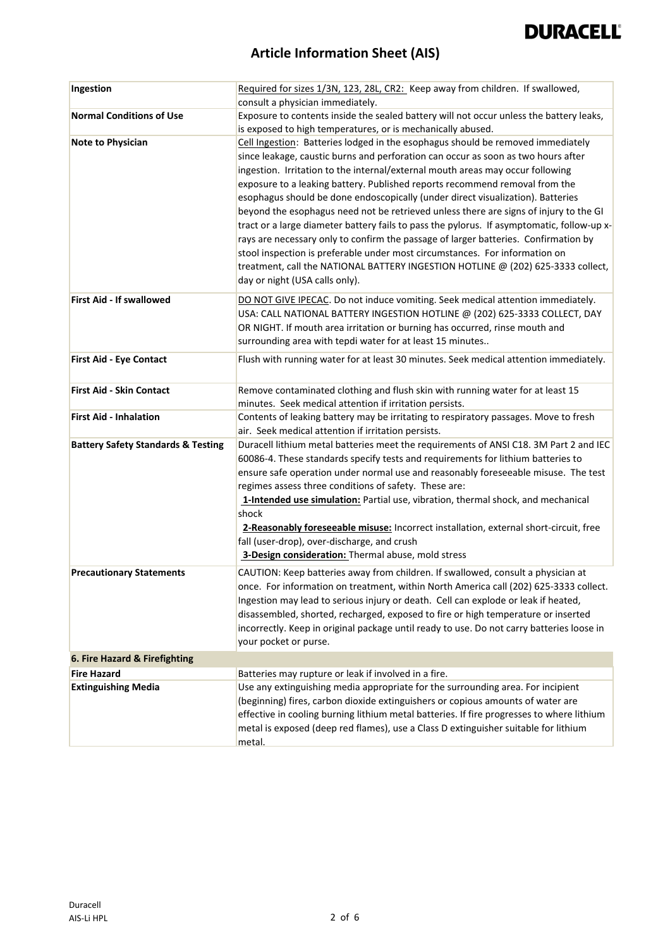

| Ingestion                                     | Required for sizes 1/3N, 123, 28L, CR2: Keep away from children. If swallowed,<br>consult a physician immediately.                                                                                                                                                                                                                                                                                                                                                                                                                                                                                                                                                                                                                                                                                                                                                                                          |
|-----------------------------------------------|-------------------------------------------------------------------------------------------------------------------------------------------------------------------------------------------------------------------------------------------------------------------------------------------------------------------------------------------------------------------------------------------------------------------------------------------------------------------------------------------------------------------------------------------------------------------------------------------------------------------------------------------------------------------------------------------------------------------------------------------------------------------------------------------------------------------------------------------------------------------------------------------------------------|
| <b>Normal Conditions of Use</b>               | Exposure to contents inside the sealed battery will not occur unless the battery leaks,<br>is exposed to high temperatures, or is mechanically abused.                                                                                                                                                                                                                                                                                                                                                                                                                                                                                                                                                                                                                                                                                                                                                      |
| Note to Physician                             | Cell Ingestion: Batteries lodged in the esophagus should be removed immediately<br>since leakage, caustic burns and perforation can occur as soon as two hours after<br>ingestion. Irritation to the internal/external mouth areas may occur following<br>exposure to a leaking battery. Published reports recommend removal from the<br>esophagus should be done endoscopically (under direct visualization). Batteries<br>beyond the esophagus need not be retrieved unless there are signs of injury to the GI<br>tract or a large diameter battery fails to pass the pylorus. If asymptomatic, follow-up x-<br>rays are necessary only to confirm the passage of larger batteries. Confirmation by<br>stool inspection is preferable under most circumstances. For information on<br>treatment, call the NATIONAL BATTERY INGESTION HOTLINE @ (202) 625-3333 collect,<br>day or night (USA calls only). |
| <b>First Aid - If swallowed</b>               | DO NOT GIVE IPECAC. Do not induce vomiting. Seek medical attention immediately.<br>USA: CALL NATIONAL BATTERY INGESTION HOTLINE @ (202) 625-3333 COLLECT, DAY<br>OR NIGHT. If mouth area irritation or burning has occurred, rinse mouth and<br>surrounding area with tepdi water for at least 15 minutes                                                                                                                                                                                                                                                                                                                                                                                                                                                                                                                                                                                                   |
| <b>First Aid - Eye Contact</b>                | Flush with running water for at least 30 minutes. Seek medical attention immediately.                                                                                                                                                                                                                                                                                                                                                                                                                                                                                                                                                                                                                                                                                                                                                                                                                       |
| <b>First Aid - Skin Contact</b>               | Remove contaminated clothing and flush skin with running water for at least 15<br>minutes. Seek medical attention if irritation persists.                                                                                                                                                                                                                                                                                                                                                                                                                                                                                                                                                                                                                                                                                                                                                                   |
| <b>First Aid - Inhalation</b>                 | Contents of leaking battery may be irritating to respiratory passages. Move to fresh<br>air. Seek medical attention if irritation persists.                                                                                                                                                                                                                                                                                                                                                                                                                                                                                                                                                                                                                                                                                                                                                                 |
| <b>Battery Safety Standards &amp; Testing</b> | Duracell lithium metal batteries meet the requirements of ANSI C18. 3M Part 2 and IEC<br>60086-4. These standards specify tests and requirements for lithium batteries to<br>ensure safe operation under normal use and reasonably foreseeable misuse. The test<br>regimes assess three conditions of safety. These are:<br>1-Intended use simulation: Partial use, vibration, thermal shock, and mechanical<br>shock<br>2-Reasonably foreseeable misuse: Incorrect installation, external short-circuit, free<br>fall (user-drop), over-discharge, and crush<br>3-Design consideration: Thermal abuse, mold stress                                                                                                                                                                                                                                                                                         |
| <b>Precautionary Statements</b>               | CAUTION: Keep batteries away from children. If swallowed, consult a physician at<br>once. For information on treatment, within North America call (202) 625-3333 collect.<br>Ingestion may lead to serious injury or death. Cell can explode or leak if heated,<br>disassembled, shorted, recharged, exposed to fire or high temperature or inserted<br>incorrectly. Keep in original package until ready to use. Do not carry batteries loose in<br>your pocket or purse.                                                                                                                                                                                                                                                                                                                                                                                                                                  |
| 6. Fire Hazard & Firefighting                 |                                                                                                                                                                                                                                                                                                                                                                                                                                                                                                                                                                                                                                                                                                                                                                                                                                                                                                             |
| <b>Fire Hazard</b>                            | Batteries may rupture or leak if involved in a fire.                                                                                                                                                                                                                                                                                                                                                                                                                                                                                                                                                                                                                                                                                                                                                                                                                                                        |
| <b>Extinguishing Media</b>                    | Use any extinguishing media appropriate for the surrounding area. For incipient<br>(beginning) fires, carbon dioxide extinguishers or copious amounts of water are<br>effective in cooling burning lithium metal batteries. If fire progresses to where lithium<br>metal is exposed (deep red flames), use a Class D extinguisher suitable for lithium<br>metal.                                                                                                                                                                                                                                                                                                                                                                                                                                                                                                                                            |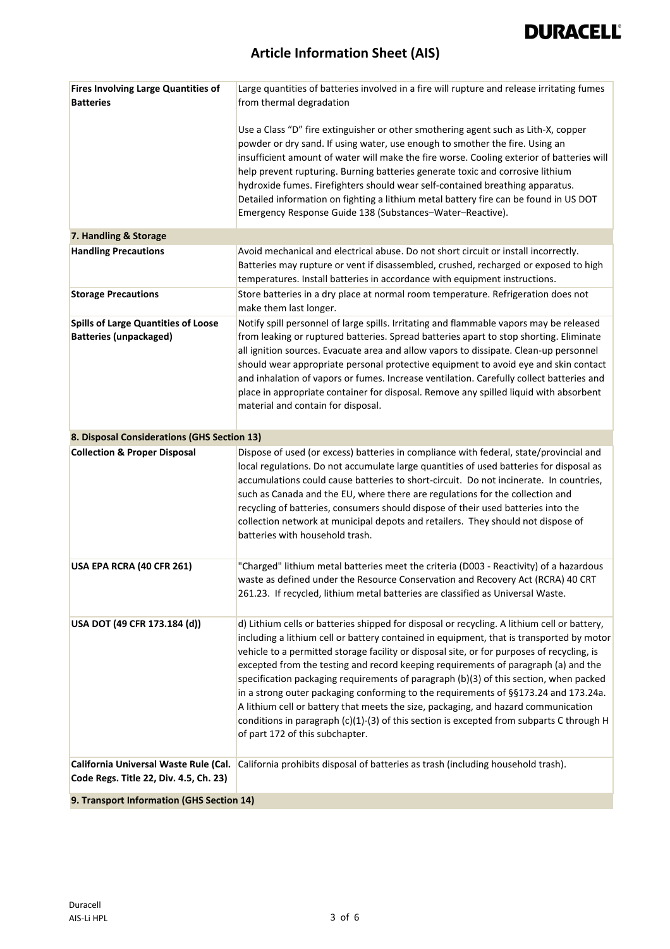# **DURACELL®**

| <b>Fires Involving Large Quantities of</b><br><b>Batteries</b>                  | Large quantities of batteries involved in a fire will rupture and release irritating fumes<br>from thermal degradation                                                                                                                                                                                                                                                                                                                                                                                                                                                                                                                                                                                                                                                           |
|---------------------------------------------------------------------------------|----------------------------------------------------------------------------------------------------------------------------------------------------------------------------------------------------------------------------------------------------------------------------------------------------------------------------------------------------------------------------------------------------------------------------------------------------------------------------------------------------------------------------------------------------------------------------------------------------------------------------------------------------------------------------------------------------------------------------------------------------------------------------------|
|                                                                                 | Use a Class "D" fire extinguisher or other smothering agent such as Lith-X, copper<br>powder or dry sand. If using water, use enough to smother the fire. Using an<br>insufficient amount of water will make the fire worse. Cooling exterior of batteries will<br>help prevent rupturing. Burning batteries generate toxic and corrosive lithium<br>hydroxide fumes. Firefighters should wear self-contained breathing apparatus.<br>Detailed information on fighting a lithium metal battery fire can be found in US DOT<br>Emergency Response Guide 138 (Substances-Water-Reactive).                                                                                                                                                                                          |
| 7. Handling & Storage                                                           |                                                                                                                                                                                                                                                                                                                                                                                                                                                                                                                                                                                                                                                                                                                                                                                  |
| <b>Handling Precautions</b>                                                     | Avoid mechanical and electrical abuse. Do not short circuit or install incorrectly.<br>Batteries may rupture or vent if disassembled, crushed, recharged or exposed to high<br>temperatures. Install batteries in accordance with equipment instructions.                                                                                                                                                                                                                                                                                                                                                                                                                                                                                                                        |
| <b>Storage Precautions</b>                                                      | Store batteries in a dry place at normal room temperature. Refrigeration does not<br>make them last longer.                                                                                                                                                                                                                                                                                                                                                                                                                                                                                                                                                                                                                                                                      |
| <b>Spills of Large Quantities of Loose</b><br><b>Batteries (unpackaged)</b>     | Notify spill personnel of large spills. Irritating and flammable vapors may be released<br>from leaking or ruptured batteries. Spread batteries apart to stop shorting. Eliminate<br>all ignition sources. Evacuate area and allow vapors to dissipate. Clean-up personnel<br>should wear appropriate personal protective equipment to avoid eye and skin contact<br>and inhalation of vapors or fumes. Increase ventilation. Carefully collect batteries and<br>place in appropriate container for disposal. Remove any spilled liquid with absorbent<br>material and contain for disposal.                                                                                                                                                                                     |
| 8. Disposal Considerations (GHS Section 13)                                     |                                                                                                                                                                                                                                                                                                                                                                                                                                                                                                                                                                                                                                                                                                                                                                                  |
| <b>Collection &amp; Proper Disposal</b>                                         | Dispose of used (or excess) batteries in compliance with federal, state/provincial and<br>local regulations. Do not accumulate large quantities of used batteries for disposal as<br>accumulations could cause batteries to short-circuit. Do not incinerate. In countries,<br>such as Canada and the EU, where there are regulations for the collection and<br>recycling of batteries, consumers should dispose of their used batteries into the<br>collection network at municipal depots and retailers. They should not dispose of<br>batteries with household trash.                                                                                                                                                                                                         |
|                                                                                 |                                                                                                                                                                                                                                                                                                                                                                                                                                                                                                                                                                                                                                                                                                                                                                                  |
| USA EPA RCRA (40 CFR 261)                                                       | "Charged" lithium metal batteries meet the criteria (D003 - Reactivity) of a hazardous<br>waste as defined under the Resource Conservation and Recovery Act (RCRA) 40 CRT<br>261.23. If recycled, lithium metal batteries are classified as Universal Waste.                                                                                                                                                                                                                                                                                                                                                                                                                                                                                                                     |
| USA DOT (49 CFR 173.184 (d))                                                    | d) Lithium cells or batteries shipped for disposal or recycling. A lithium cell or battery,<br>including a lithium cell or battery contained in equipment, that is transported by motor<br>vehicle to a permitted storage facility or disposal site, or for purposes of recycling, is<br>excepted from the testing and record keeping requirements of paragraph (a) and the<br>specification packaging requirements of paragraph (b)(3) of this section, when packed<br>in a strong outer packaging conforming to the requirements of §§173.24 and 173.24a.<br>A lithium cell or battery that meets the size, packaging, and hazard communication<br>conditions in paragraph (c)(1)-(3) of this section is excepted from subparts C through H<br>of part 172 of this subchapter. |
| California Universal Waste Rule (Cal.<br>Code Regs. Title 22, Div. 4.5, Ch. 23) | California prohibits disposal of batteries as trash (including household trash).                                                                                                                                                                                                                                                                                                                                                                                                                                                                                                                                                                                                                                                                                                 |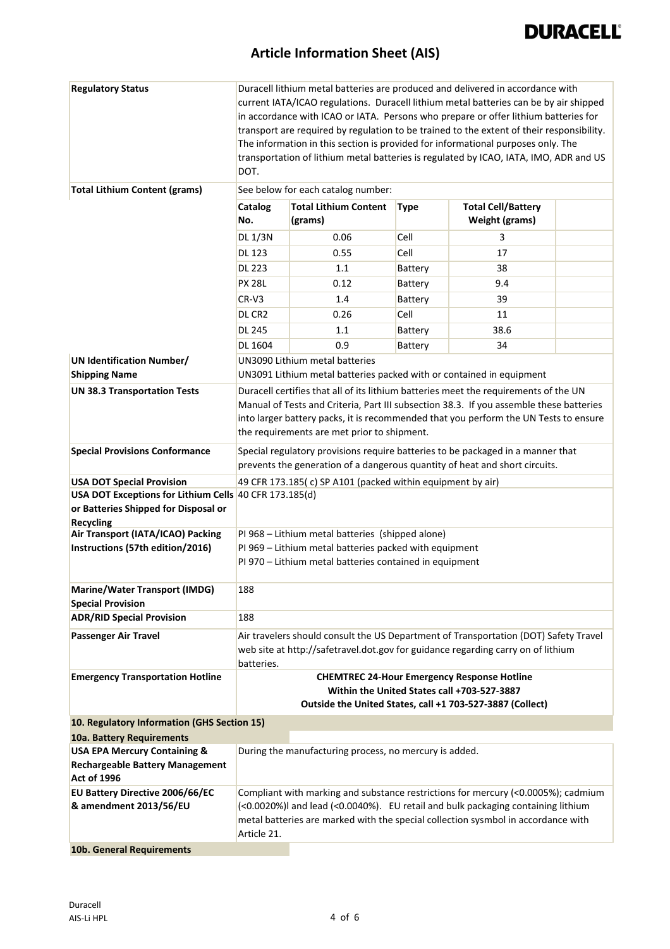| <b>Regulatory Status</b>                                         | Duracell lithium metal batteries are produced and delivered in accordance with                                    |                                                                      |             |                                                                                                   |  |
|------------------------------------------------------------------|-------------------------------------------------------------------------------------------------------------------|----------------------------------------------------------------------|-------------|---------------------------------------------------------------------------------------------------|--|
|                                                                  |                                                                                                                   |                                                                      |             | current IATA/ICAO regulations. Duracell lithium metal batteries can be by air shipped             |  |
|                                                                  | in accordance with ICAO or IATA. Persons who prepare or offer lithium batteries for                               |                                                                      |             |                                                                                                   |  |
|                                                                  | transport are required by regulation to be trained to the extent of their responsibility.                         |                                                                      |             |                                                                                                   |  |
|                                                                  | The information in this section is provided for informational purposes only. The                                  |                                                                      |             |                                                                                                   |  |
|                                                                  | transportation of lithium metal batteries is regulated by ICAO, IATA, IMO, ADR and US                             |                                                                      |             |                                                                                                   |  |
|                                                                  | DOT.                                                                                                              |                                                                      |             |                                                                                                   |  |
| <b>Total Lithium Content (grams)</b>                             | See below for each catalog number:                                                                                |                                                                      |             |                                                                                                   |  |
|                                                                  | <b>Catalog</b>                                                                                                    | <b>Total Lithium Content</b>                                         | <b>Type</b> | <b>Total Cell/Battery</b>                                                                         |  |
|                                                                  | No.                                                                                                               | (grams)                                                              |             | <b>Weight (grams)</b>                                                                             |  |
|                                                                  | <b>DL 1/3N</b>                                                                                                    | 0.06                                                                 | Cell        | 3                                                                                                 |  |
|                                                                  | <b>DL 123</b>                                                                                                     | 0.55                                                                 | Cell        | 17                                                                                                |  |
|                                                                  | <b>DL 223</b>                                                                                                     | 1.1                                                                  | Battery     | 38                                                                                                |  |
|                                                                  | <b>PX 28L</b>                                                                                                     | 0.12                                                                 |             | 9.4                                                                                               |  |
|                                                                  |                                                                                                                   |                                                                      | Battery     |                                                                                                   |  |
|                                                                  | $CR-V3$                                                                                                           | 1.4                                                                  | Battery     | 39                                                                                                |  |
|                                                                  | DL CR <sub>2</sub>                                                                                                | 0.26                                                                 | Cell        | 11                                                                                                |  |
|                                                                  | <b>DL 245</b>                                                                                                     | 1.1                                                                  | Battery     | 38.6                                                                                              |  |
|                                                                  | <b>DL 1604</b>                                                                                                    | 0.9                                                                  | Battery     | 34                                                                                                |  |
| <b>UN Identification Number/</b>                                 |                                                                                                                   | UN3090 Lithium metal batteries                                       |             |                                                                                                   |  |
| <b>Shipping Name</b>                                             |                                                                                                                   | UN3091 Lithium metal batteries packed with or contained in equipment |             |                                                                                                   |  |
| <b>UN 38.3 Transportation Tests</b>                              |                                                                                                                   |                                                                      |             | Duracell certifies that all of its lithium batteries meet the requirements of the UN              |  |
|                                                                  |                                                                                                                   |                                                                      |             | Manual of Tests and Criteria, Part III subsection 38.3. If you assemble these batteries           |  |
|                                                                  |                                                                                                                   |                                                                      |             | into larger battery packs, it is recommended that you perform the UN Tests to ensure              |  |
|                                                                  |                                                                                                                   | the requirements are met prior to shipment.                          |             |                                                                                                   |  |
|                                                                  |                                                                                                                   |                                                                      |             |                                                                                                   |  |
| <b>Special Provisions Conformance</b>                            |                                                                                                                   |                                                                      |             | Special regulatory provisions require batteries to be packaged in a manner that                   |  |
|                                                                  |                                                                                                                   |                                                                      |             | prevents the generation of a dangerous quantity of heat and short circuits.                       |  |
| <b>USA DOT Special Provision</b>                                 | 49 CFR 173.185(c) SP A101 (packed within equipment by air)                                                        |                                                                      |             |                                                                                                   |  |
| USA DOT Exceptions for Lithium Cells 40 CFR 173.185(d)           |                                                                                                                   |                                                                      |             |                                                                                                   |  |
| or Batteries Shipped for Disposal or                             |                                                                                                                   |                                                                      |             |                                                                                                   |  |
| <b>Recycling</b>                                                 |                                                                                                                   |                                                                      |             |                                                                                                   |  |
| Air Transport (IATA/ICAO) Packing                                | PI 968 - Lithium metal batteries (shipped alone)                                                                  |                                                                      |             |                                                                                                   |  |
| Instructions (57th edition/2016)                                 | PI 969 - Lithium metal batteries packed with equipment<br>PI 970 - Lithium metal batteries contained in equipment |                                                                      |             |                                                                                                   |  |
|                                                                  |                                                                                                                   |                                                                      |             |                                                                                                   |  |
|                                                                  | 188                                                                                                               |                                                                      |             |                                                                                                   |  |
| <b>Marine/Water Transport (IMDG)</b><br><b>Special Provision</b> |                                                                                                                   |                                                                      |             |                                                                                                   |  |
| <b>ADR/RID Special Provision</b>                                 | 188                                                                                                               |                                                                      |             |                                                                                                   |  |
|                                                                  |                                                                                                                   |                                                                      |             |                                                                                                   |  |
| <b>Passenger Air Travel</b>                                      |                                                                                                                   |                                                                      |             | Air travelers should consult the US Department of Transportation (DOT) Safety Travel              |  |
|                                                                  |                                                                                                                   |                                                                      |             | web site at http://safetravel.dot.gov for guidance regarding carry on of lithium                  |  |
|                                                                  | batteries.                                                                                                        |                                                                      |             |                                                                                                   |  |
| <b>Emergency Transportation Hotline</b>                          |                                                                                                                   |                                                                      |             | <b>CHEMTREC 24-Hour Emergency Response Hotline</b><br>Within the United States call +703-527-3887 |  |
|                                                                  |                                                                                                                   |                                                                      |             | Outside the United States, call +1 703-527-3887 (Collect)                                         |  |
|                                                                  |                                                                                                                   |                                                                      |             |                                                                                                   |  |
| 10. Regulatory Information (GHS Section 15)                      |                                                                                                                   |                                                                      |             |                                                                                                   |  |
| 10a. Battery Requirements                                        |                                                                                                                   |                                                                      |             |                                                                                                   |  |
| <b>USA EPA Mercury Containing &amp;</b>                          |                                                                                                                   | During the manufacturing process, no mercury is added.               |             |                                                                                                   |  |
| <b>Rechargeable Battery Management</b>                           |                                                                                                                   |                                                                      |             |                                                                                                   |  |
| <b>Act of 1996</b>                                               |                                                                                                                   |                                                                      |             |                                                                                                   |  |
| EU Battery Directive 2006/66/EC                                  |                                                                                                                   |                                                                      |             | Compliant with marking and substance restrictions for mercury (<0.0005%); cadmium                 |  |
| & amendment 2013/56/EU                                           |                                                                                                                   |                                                                      |             | (<0.0020%)I and lead (<0.0040%). EU retail and bulk packaging containing lithium                  |  |
|                                                                  |                                                                                                                   |                                                                      |             | metal batteries are marked with the special collection sysmbol in accordance with                 |  |
|                                                                  | Article 21.                                                                                                       |                                                                      |             |                                                                                                   |  |
| 10b. General Requirements                                        |                                                                                                                   |                                                                      |             |                                                                                                   |  |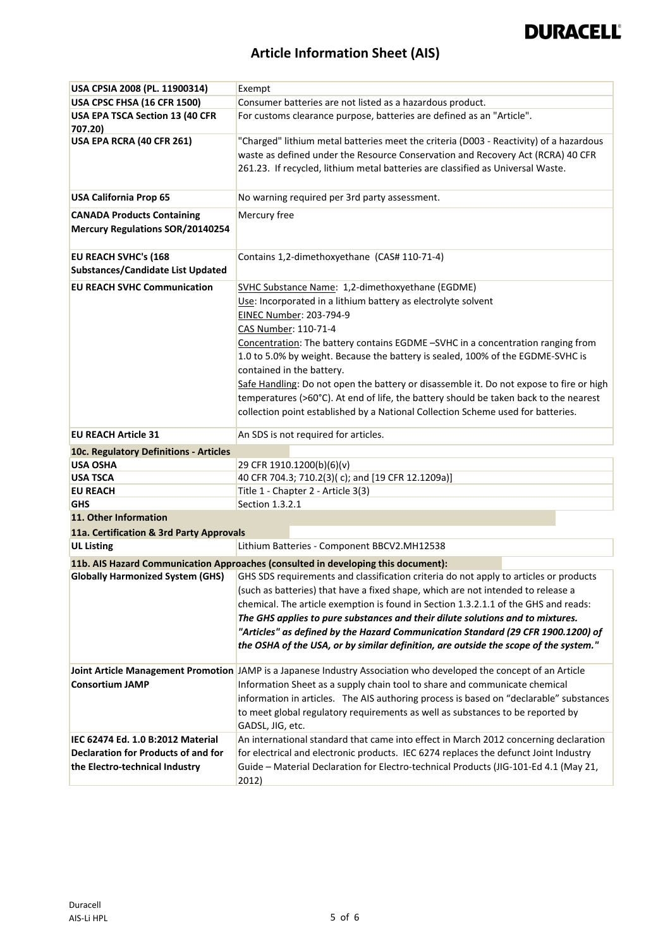# **DURACELL®**

| USA CPSIA 2008 (PL. 11900314)              | Exempt                                                                                                                                                                   |  |  |  |
|--------------------------------------------|--------------------------------------------------------------------------------------------------------------------------------------------------------------------------|--|--|--|
| USA CPSC FHSA (16 CFR 1500)                | Consumer batteries are not listed as a hazardous product.                                                                                                                |  |  |  |
| USA EPA TSCA Section 13 (40 CFR            | For customs clearance purpose, batteries are defined as an "Article".                                                                                                    |  |  |  |
| 707.20)                                    |                                                                                                                                                                          |  |  |  |
| USA EPA RCRA (40 CFR 261)                  | "Charged" lithium metal batteries meet the criteria (D003 - Reactivity) of a hazardous                                                                                   |  |  |  |
|                                            | waste as defined under the Resource Conservation and Recovery Act (RCRA) 40 CFR                                                                                          |  |  |  |
|                                            | 261.23. If recycled, lithium metal batteries are classified as Universal Waste.                                                                                          |  |  |  |
|                                            |                                                                                                                                                                          |  |  |  |
| <b>USA California Prop 65</b>              | No warning required per 3rd party assessment.                                                                                                                            |  |  |  |
| <b>CANADA Products Containing</b>          | Mercury free                                                                                                                                                             |  |  |  |
| <b>Mercury Regulations SOR/20140254</b>    |                                                                                                                                                                          |  |  |  |
|                                            |                                                                                                                                                                          |  |  |  |
| EU REACH SVHC's (168                       | Contains 1,2-dimethoxyethane (CAS# 110-71-4)                                                                                                                             |  |  |  |
| Substances/Candidate List Updated          |                                                                                                                                                                          |  |  |  |
| <b>EU REACH SVHC Communication</b>         | SVHC Substance Name: 1,2-dimethoxyethane (EGDME)                                                                                                                         |  |  |  |
|                                            | Use: Incorporated in a lithium battery as electrolyte solvent                                                                                                            |  |  |  |
|                                            | EINEC Number: 203-794-9                                                                                                                                                  |  |  |  |
|                                            | CAS Number: 110-71-4                                                                                                                                                     |  |  |  |
|                                            | Concentration: The battery contains EGDME -SVHC in a concentration ranging from                                                                                          |  |  |  |
|                                            | 1.0 to 5.0% by weight. Because the battery is sealed, 100% of the EGDME-SVHC is                                                                                          |  |  |  |
|                                            | contained in the battery.                                                                                                                                                |  |  |  |
|                                            | Safe Handling: Do not open the battery or disassemble it. Do not expose to fire or high                                                                                  |  |  |  |
|                                            | temperatures (>60°C). At end of life, the battery should be taken back to the nearest                                                                                    |  |  |  |
|                                            | collection point established by a National Collection Scheme used for batteries.                                                                                         |  |  |  |
|                                            |                                                                                                                                                                          |  |  |  |
| <b>EU REACH Article 31</b>                 | An SDS is not required for articles.                                                                                                                                     |  |  |  |
| 10c. Regulatory Definitions - Articles     |                                                                                                                                                                          |  |  |  |
| <b>USA OSHA</b>                            | 29 CFR 1910.1200(b)(6)(v)                                                                                                                                                |  |  |  |
| <b>USA TSCA</b>                            | 40 CFR 704.3; 710.2(3)(c); and [19 CFR 12.1209a)]                                                                                                                        |  |  |  |
| <b>EU REACH</b>                            | Title 1 - Chapter 2 - Article 3(3)                                                                                                                                       |  |  |  |
| <b>GHS</b>                                 | Section 1.3.2.1                                                                                                                                                          |  |  |  |
| 11. Other Information                      |                                                                                                                                                                          |  |  |  |
| 11a. Certification & 3rd Party Approvals   |                                                                                                                                                                          |  |  |  |
| <b>UL Listing</b>                          | Lithium Batteries - Component BBCV2.MH12538                                                                                                                              |  |  |  |
|                                            | 11b. AIS Hazard Communication Approaches (consulted in developing this document):                                                                                        |  |  |  |
| <b>Globally Harmonized System (GHS)</b>    | GHS SDS requirements and classification criteria do not apply to articles or products                                                                                    |  |  |  |
|                                            | (such as batteries) that have a fixed shape, which are not intended to release a                                                                                         |  |  |  |
|                                            | chemical. The article exemption is found in Section 1.3.2.1.1 of the GHS and reads:                                                                                      |  |  |  |
|                                            | The GHS applies to pure substances and their dilute solutions and to mixtures.                                                                                           |  |  |  |
|                                            | "Articles" as defined by the Hazard Communication Standard (29 CFR 1900.1200) of                                                                                         |  |  |  |
|                                            | the OSHA of the USA, or by similar definition, are outside the scope of the system."                                                                                     |  |  |  |
|                                            | Joint Article Management Promotion JAMP is a Japanese Industry Association who developed the concept of an Article                                                       |  |  |  |
| <b>Consortium JAMP</b>                     | Information Sheet as a supply chain tool to share and communicate chemical                                                                                               |  |  |  |
|                                            |                                                                                                                                                                          |  |  |  |
|                                            | information in articles. The AIS authoring process is based on "declarable" substances<br>to meet global regulatory requirements as well as substances to be reported by |  |  |  |
|                                            |                                                                                                                                                                          |  |  |  |
| IEC 62474 Ed. 1.0 B:2012 Material          | GADSL, JIG, etc.<br>An international standard that came into effect in March 2012 concerning declaration                                                                 |  |  |  |
| <b>Declaration for Products of and for</b> | for electrical and electronic products. IEC 6274 replaces the defunct Joint Industry                                                                                     |  |  |  |
| the Electro-technical Industry             | Guide - Material Declaration for Electro-technical Products (JIG-101-Ed 4.1 (May 21,                                                                                     |  |  |  |
|                                            | 2012)                                                                                                                                                                    |  |  |  |